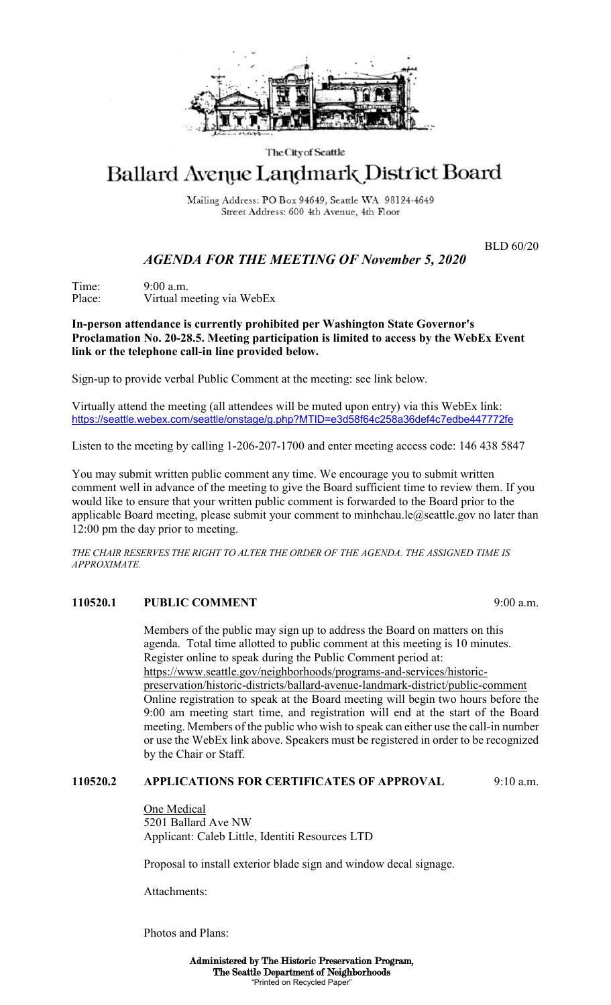

#### The City of Seattle

# Ballard Avenue Landmark District Board

Mailing Address: PO Box 94649, Seattle WA 98124-4649 Street Address: 600 4th Avenue, 4th Floor

BLD 60/20

# *AGENDA FOR THE MEETING OF November 5, 2020*

Time: 9:00 a.m.<br>Place: Virtual m Virtual meeting via WebEx

### **In-person attendance is currently prohibited per Washington State Governor's Proclamation No. 20-28.5. Meeting participation is limited to access by the WebEx Event link or the telephone call-in line provided below.**

Sign-up to provide verbal Public Comment at the meeting: see link below.

Virtually attend the meeting (all attendees will be muted upon entry) via this WebEx link: <https://seattle.webex.com/seattle/onstage/g.php?MTID=e3d58f64c258a36def4c7edbe447772fe>

Listen to the meeting by calling 1-206-207-1700 and enter meeting access code: 146 438 5847

You may submit written public comment any time. We encourage you to submit written comment well in advance of the meeting to give the Board sufficient time to review them. If you would like to ensure that your written public comment is forwarded to the Board prior to the applicable Board meeting, please submit your comment to minhchau.le $@$ seattle.gov no later than 12:00 pm the day prior to meeting.

*THE CHAIR RESERVES THE RIGHT TO ALTER THE ORDER OF THE AGENDA. THE ASSIGNED TIME IS APPROXIMATE.*

#### **110520.1 PUBLIC COMMENT** 9:00 a.m.

Members of the public may sign up to address the Board on matters on this agenda. Total time allotted to public comment at this meeting is 10 minutes. Register online to speak during the Public Comment period at: https://www.seattle.gov/neighborhoods/programs-and-services/historicpreservation/historic-districts/ballard-avenue-landmark-district/public-comment Online registration to speak at the Board meeting will begin two hours before the 9:00 am meeting start time, and registration will end at the start of the Board meeting. Members of the public who wish to speak can either use the call-in number or use the WebEx link above. Speakers must be registered in order to be recognized by the Chair or Staff.

#### **110520.2 APPLICATIONS FOR CERTIFICATES OF APPROVAL** 9:10 a.m.

One Medical 5201 Ballard Ave NW Applicant: Caleb Little, Identiti Resources LTD

Proposal to install exterior blade sign and window decal signage.

Attachments:

Photos and Plans: